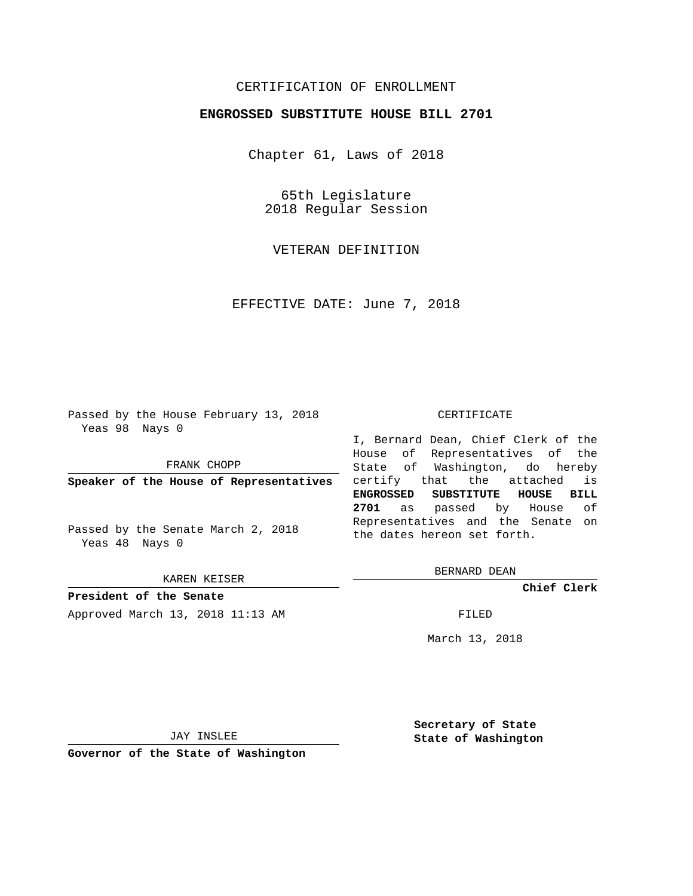## CERTIFICATION OF ENROLLMENT

## **ENGROSSED SUBSTITUTE HOUSE BILL 2701**

Chapter 61, Laws of 2018

65th Legislature 2018 Regular Session

VETERAN DEFINITION

EFFECTIVE DATE: June 7, 2018

Passed by the House February 13, 2018 Yeas 98 Nays 0

FRANK CHOPP

**Speaker of the House of Representatives**

Passed by the Senate March 2, 2018 Yeas 48 Nays 0

KAREN KEISER

**President of the Senate**

Approved March 13, 2018 11:13 AM FILED

## CERTIFICATE

I, Bernard Dean, Chief Clerk of the House of Representatives of the State of Washington, do hereby certify that the attached is **ENGROSSED SUBSTITUTE HOUSE BILL 2701** as passed by House of Representatives and the Senate on the dates hereon set forth.

BERNARD DEAN

**Chief Clerk**

March 13, 2018

JAY INSLEE

**Governor of the State of Washington**

**Secretary of State State of Washington**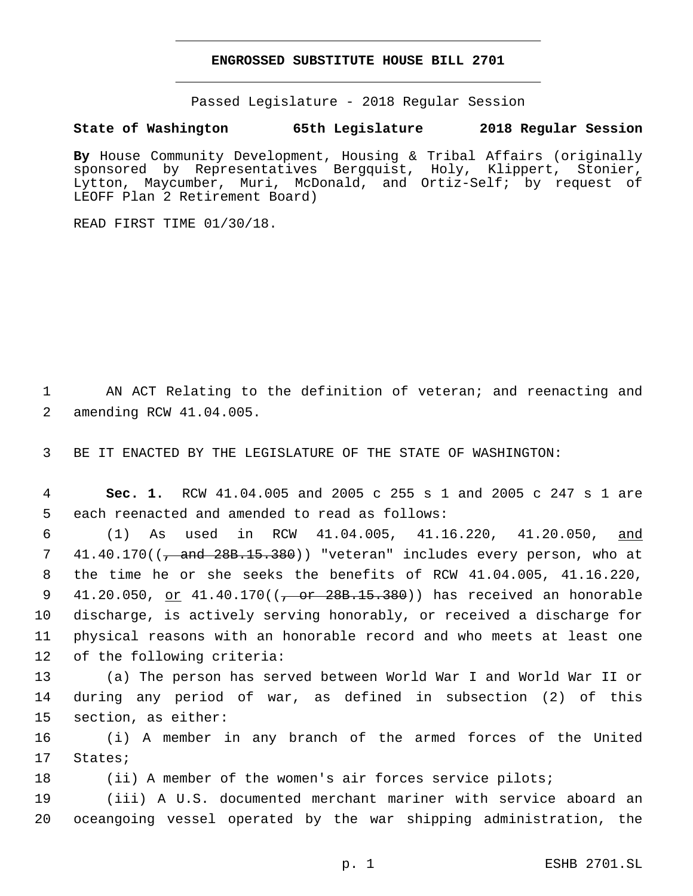## **ENGROSSED SUBSTITUTE HOUSE BILL 2701**

Passed Legislature - 2018 Regular Session

**State of Washington 65th Legislature 2018 Regular Session**

**By** House Community Development, Housing & Tribal Affairs (originally sponsored by Representatives Bergquist, Holy, Klippert, Stonier, Lytton, Maycumber, Muri, McDonald, and Ortiz-Self; by request of LEOFF Plan 2 Retirement Board)

READ FIRST TIME 01/30/18.

1 AN ACT Relating to the definition of veteran; and reenacting and 2 amending RCW 41.04.005.

3 BE IT ENACTED BY THE LEGISLATURE OF THE STATE OF WASHINGTON:

4 **Sec. 1.** RCW 41.04.005 and 2005 c 255 s 1 and 2005 c 247 s 1 are 5 each reenacted and amended to read as follows:

6 (1) As used in RCW 41.04.005, 41.16.220, 41.20.050, and 7 41.40.170((, and 28B.15.380)) "veteran" includes every person, who at 8 the time he or she seeks the benefits of RCW 41.04.005, 41.16.220, 9 41.20.050, <u>or</u> 41.40.170((<del>, or 28B.15.380</del>)) has received an honorable 10 discharge, is actively serving honorably, or received a discharge for 11 physical reasons with an honorable record and who meets at least one 12 of the following criteria:

13 (a) The person has served between World War I and World War II or 14 during any period of war, as defined in subsection (2) of this 15 section, as either:

16 (i) A member in any branch of the armed forces of the United 17 States;

18 (ii) A member of the women's air forces service pilots;

19 (iii) A U.S. documented merchant mariner with service aboard an 20 oceangoing vessel operated by the war shipping administration, the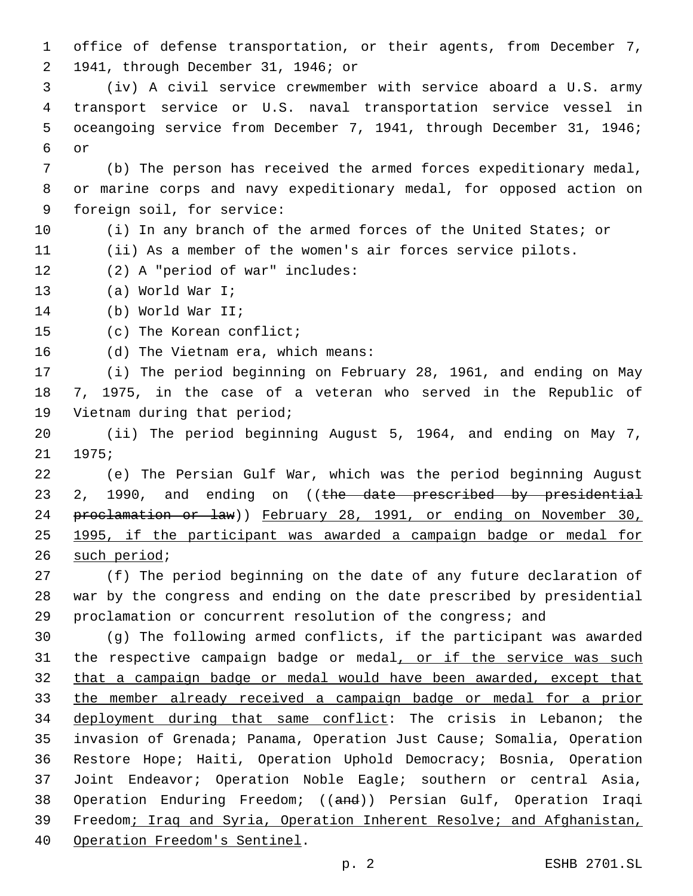office of defense transportation, or their agents, from December 7, 1941, through December 31, 1946; or2

 (iv) A civil service crewmember with service aboard a U.S. army transport service or U.S. naval transportation service vessel in oceangoing service from December 7, 1941, through December 31, 1946; 6 or

 (b) The person has received the armed forces expeditionary medal, or marine corps and navy expeditionary medal, for opposed action on 9 foreign soil, for service:

 (i) In any branch of the armed forces of the United States; or (ii) As a member of the women's air forces service pilots.

- 12 (2) A "period of war" includes:
- 13 (a) World War I;
- 14 (b) World War II;

15 (c) The Korean conflict;

16 (d) The Vietnam era, which means:

 (i) The period beginning on February 28, 1961, and ending on May 7, 1975, in the case of a veteran who served in the Republic of 19 Vietnam during that period;

 (ii) The period beginning August 5, 1964, and ending on May 7, 21 1975;

 (e) The Persian Gulf War, which was the period beginning August 23 2, 1990, and ending on ((the date prescribed by presidential proclamation or law)) February 28, 1991, or ending on November 30, 1995, if the participant was awarded a campaign badge or medal for 26 such period;

 (f) The period beginning on the date of any future declaration of war by the congress and ending on the date prescribed by presidential proclamation or concurrent resolution of the congress; and

 (g) The following armed conflicts, if the participant was awarded 31 the respective campaign badge or medal, or if the service was such that a campaign badge or medal would have been awarded, except that the member already received a campaign badge or medal for a prior 34 deployment during that same conflict: The crisis in Lebanon; the invasion of Grenada; Panama, Operation Just Cause; Somalia, Operation Restore Hope; Haiti, Operation Uphold Democracy; Bosnia, Operation Joint Endeavor; Operation Noble Eagle; southern or central Asia, Operation Enduring Freedom; ((and)) Persian Gulf, Operation Iraqi Freedom; Iraq and Syria, Operation Inherent Resolve; and Afghanistan, 40 Operation Freedom's Sentinel.